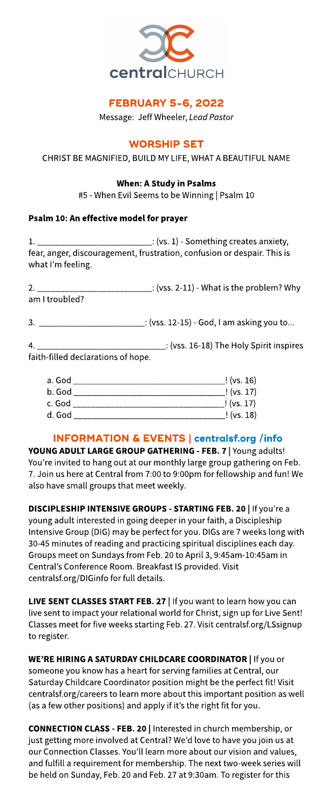

## **FEBRUARY 5-6, 2022**

Message: Jeff Wheeler, **LeadPastor**

## **WORSHIP SET**

CHRIST BE MAGNIFIED, BUILD MY LIFE, WHAT A BEAUTIFUL NAME

## When: A Study in Psalms

#5 - When Evil Seemsto beWinning | Psalm 10

## Psalm 10: An effective model for prayer

\_\_\_: (vs. 1) - Something creates anxiety, fear, anger, discouragement, frustration, confusion or despair. This is what I'm feeling.

2. \_\_\_\_\_\_\_\_\_\_\_\_\_\_\_\_\_\_\_\_\_\_\_\_\_:(vss. 2-11)- What isthe problem?Why am I troubled?

3. \_\_\_\_\_\_\_\_\_\_\_\_\_\_\_\_\_\_\_\_\_\_\_:(vss. 12-15) - God, I am asking you to...

4. \_\_\_\_\_\_\_\_\_\_\_\_\_\_\_\_\_\_\_\_\_\_\_\_\_\_\_\_\_\_: (vss. 16-18) The Holy Spirit inspires faith-filled declarations of hope.

| a. God | !(vs. 16)  |
|--------|------------|
| b. God | !(vs. 17)  |
| c. God | ! (vs. 17) |
| d. God | !(vs. 18)  |

# INFORMATION& EVENTS| **[centralsf.org/info](http://centralsf.org/info)**

YOUNG ADULT LARGE GROUP GATHERING - FEB. 7 | Young adults! You're invited to hang out at our monthly large group gathering on Feb. 7. Join us here at Central from 7:00 to 9:00pm for fellowship and fun! We also have small groups that meet weekly.

DISCIPLESHIP INTENSIVE GROUPS - STARTING FEB. 20 | If you're a young adult interested in going deeper in your faith, a Discipleship Intensive Group (DIG) may be perfect for you. DIGs are 7 weeks long with 30-45 minutes of reading and practicing spiritual disciplines each day. Groups meet on Sundays from Feb. 20 to April 3, 9:45am-10:45am in Central's Conference Room. Breakfast IS provided. Visit centralsf.org/DIGinfo for full details.

LIVE SENT CLASSES START FEB. 27 | If you want to learn how you can live sent to impact your relational world for Christ, sign up for Live Sent! Classes meet for five weeks starting Feb. 27. Visit centralsf.org/LSsignup to register.

WE'RE HIRING A SATURDAY CHILDCARE COORDINATOR | If you or someone you know has a heart for serving families at Central, our Saturday Childcare Coordinator position might be the perfect fit! Visit centralsf.org/careers to learn more about this important position as well (as a few other positions) and apply if it's the right fit for you.

CONNECTION CLASS- FEB. 20 | Interested in church membership, or just getting more involved at Central? We'd love to have you join us at our Connection Classes. You'll learn more about our vision and values, and fulfill a requirement for membership. The next two-week series will be held on Sunday, Feb. 20 and Feb. 27 at 9:30am. To register for this